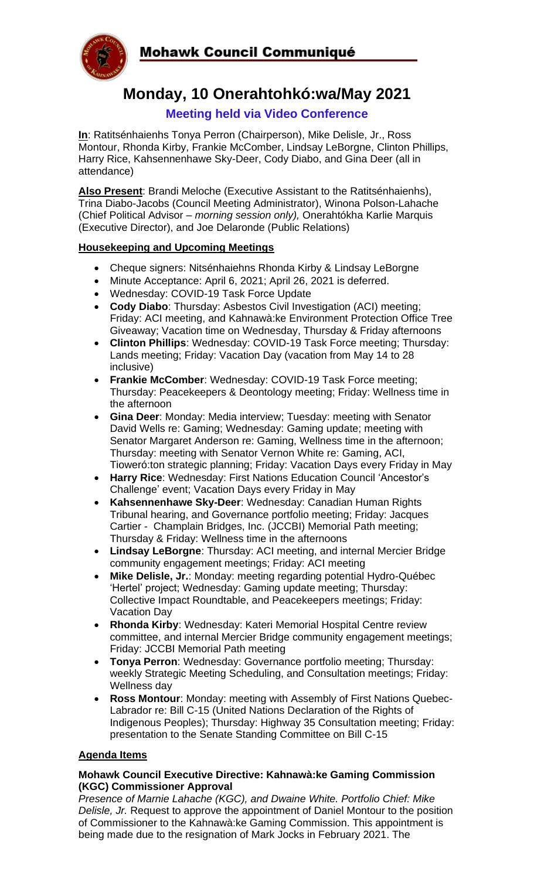**Mohawk Council Communiqué** 



# **Monday, 10 Onerahtohkó:wa/May 2021**

# **Meeting held via Video Conference**

**In**: Ratitsénhaienhs Tonya Perron (Chairperson), Mike Delisle, Jr., Ross Montour, Rhonda Kirby, Frankie McComber, Lindsay LeBorgne, Clinton Phillips, Harry Rice, Kahsennenhawe Sky-Deer, Cody Diabo, and Gina Deer (all in attendance)

**Also Present**: Brandi Meloche (Executive Assistant to the Ratitsénhaienhs), Trina Diabo-Jacobs (Council Meeting Administrator), Winona Polson-Lahache (Chief Political Advisor – *morning session only),* Onerahtókha Karlie Marquis (Executive Director), and Joe Delaronde (Public Relations)

### **Housekeeping and Upcoming Meetings**

- Cheque signers: Nitsénhaiehns Rhonda Kirby & Lindsay LeBorgne
- Minute Acceptance: April 6, 2021; April 26, 2021 is deferred.
- Wednesday: COVID-19 Task Force Update
- **Cody Diabo**: Thursday: Asbestos Civil Investigation (ACI) meeting; Friday: ACI meeting, and Kahnawà:ke Environment Protection Office Tree Giveaway; Vacation time on Wednesday, Thursday & Friday afternoons
- **Clinton Phillips**: Wednesday: COVID-19 Task Force meeting; Thursday: Lands meeting; Friday: Vacation Day (vacation from May 14 to 28 inclusive)
- **Frankie McComber**: Wednesday: COVID-19 Task Force meeting; Thursday: Peacekeepers & Deontology meeting; Friday: Wellness time in the afternoon
- **Gina Deer**: Monday: Media interview; Tuesday: meeting with Senator David Wells re: Gaming; Wednesday: Gaming update; meeting with Senator Margaret Anderson re: Gaming, Wellness time in the afternoon; Thursday: meeting with Senator Vernon White re: Gaming, ACI, Tioweró:ton strategic planning; Friday: Vacation Days every Friday in May
- **Harry Rice**: Wednesday: First Nations Education Council 'Ancestor's Challenge' event; Vacation Days every Friday in May
- **Kahsennenhawe Sky-Deer**: Wednesday: Canadian Human Rights Tribunal hearing, and Governance portfolio meeting; Friday: Jacques Cartier - Champlain Bridges, Inc. (JCCBI) Memorial Path meeting; Thursday & Friday: Wellness time in the afternoons
- **Lindsay LeBorgne**: Thursday: ACI meeting, and internal Mercier Bridge community engagement meetings; Friday: ACI meeting
- **Mike Delisle, Jr.**: Monday: meeting regarding potential Hydro-Québec 'Hertel' project; Wednesday: Gaming update meeting; Thursday: Collective Impact Roundtable, and Peacekeepers meetings; Friday: Vacation Day
- **Rhonda Kirby**: Wednesday: Kateri Memorial Hospital Centre review committee, and internal Mercier Bridge community engagement meetings; Friday: JCCBI Memorial Path meeting
- **Tonya Perron**: Wednesday: Governance portfolio meeting; Thursday: weekly Strategic Meeting Scheduling, and Consultation meetings; Friday: Wellness day
- **Ross Montour**: Monday: meeting with Assembly of First Nations Quebec-Labrador re: Bill C-15 (United Nations Declaration of the Rights of Indigenous Peoples); Thursday: Highway 35 Consultation meeting; Friday: presentation to the Senate Standing Committee on Bill C-15

## **Agenda Items**

#### **Mohawk Council Executive Directive: Kahnawà:ke Gaming Commission (KGC) Commissioner Approval**

*Presence of Marnie Lahache (KGC), and Dwaine White. Portfolio Chief: Mike Delisle, Jr.* Request to approve the appointment of Daniel Montour to the position of Commissioner to the Kahnawà:ke Gaming Commission. This appointment is being made due to the resignation of Mark Jocks in February 2021. The